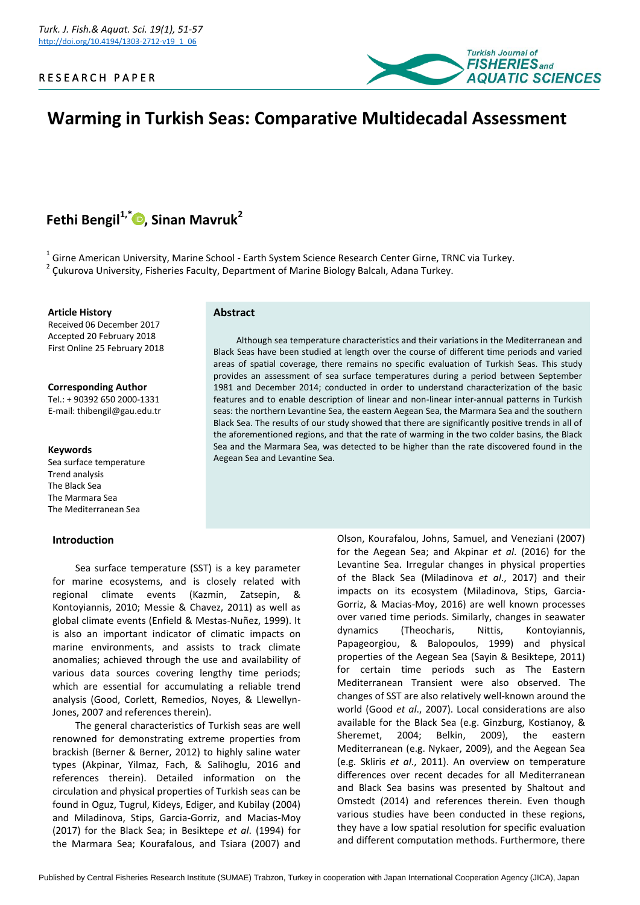

# **Warming in Turkish Seas: Comparative Multidecadal Assessment**

# **Fethi Bengil1,\* [,](https://orcid.org/0000-0003-0989-2829) Sinan Mavruk<sup>2</sup>**

 $^{\text{1}}$  Girne American University, Marine School - Earth System Science Research Center Girne, TRNC via Turkey. <sup>2</sup> Çukurova University, Fisheries Faculty, Department of Marine Biology Balcalı, Adana Turkey.

## **Article History**

Received 06 December 2017 Accepted 20 February 2018 First Online 25 February 2018

# **Corresponding Author**

Tel.: + 90392 650 2000-1331 E-mail: thibengil@gau.edu.tr

#### **Keywords**

Sea surface temperature Trend analysis The Black Sea The Marmara Sea The Mediterranean Sea

# **Introduction**

#### **Abstract**

Although sea temperature characteristics and their variations in the Mediterranean and Black Seas have been studied at length over the course of different time periods and varied areas of spatial coverage, there remains no specific evaluation of Turkish Seas. This study provides an assessment of sea surface temperatures during a period between September 1981 and December 2014; conducted in order to understand characterization of the basic features and to enable description of linear and non-linear inter-annual patterns in Turkish seas: the northern Levantine Sea, the eastern Aegean Sea, the Marmara Sea and the southern Black Sea. The results of our study showed that there are significantly positive trends in all of the aforementioned regions, and that the rate of warming in the two colder basins, the Black Sea and the Marmara Sea, was detected to be higher than the rate discovered found in the Aegean Sea and Levantine Sea.

Sea surface temperature (SST) is a key parameter for marine ecosystems, and is closely related with regional climate events (Kazmin, Zatsepin, & Kontoyiannis, 2010; Messie & Chavez, 2011) as well as global climate events (Enfield & Mestas-Nuñez, 1999). It is also an important indicator of climatic impacts on marine environments, and assists to track climate anomalies; achieved through the use and availability of various data sources covering lengthy time periods; which are essential for accumulating a reliable trend analysis (Good, Corlett, Remedios, Noyes, & Llewellyn-Jones, 2007 and references therein).

The general characteristics of Turkish seas are well renowned for demonstrating extreme properties from brackish (Berner & Berner, 2012) to highly saline water types (Akpinar, Yilmaz, Fach, & Salihoglu, 2016 and references therein). Detailed information on the circulation and physical properties of Turkish seas can be found in Oguz, Tugrul, Kideys, Ediger, and Kubilay (2004) and Miladinova, Stips, Garcia-Gorriz, and Macias-Moy (2017) for the Black Sea; in Besiktepe *et al*. (1994) for the Marmara Sea; Kourafalous, and Tsiara (2007) and

Olson, Kourafalou, Johns, Samuel, and Veneziani (2007) for the Aegean Sea; and Akpinar *et al*. (2016) for the Levantine Sea. Irregular changes in physical properties of the Black Sea (Miladinova *et al*., 2017) and their impacts on its ecosystem (Miladinova, Stips, Garcia-Gorriz, & Macias-Moy, 2016) are well known processes over varıed time periods. Similarly, changes in seawater dynamics (Theocharis, Nittis, Kontoyiannis, Papageorgiou, & Balopoulos, 1999) and physical properties of the Aegean Sea (Sayin & Besiktepe, 2011) for certain time periods such as The Eastern Mediterranean Transient were also observed. The changes of SST are also relatively well-known around the world (Good *et al*., 2007). Local considerations are also available for the Black Sea (e.g. Ginzburg, Kostianoy, & Sheremet, 2004; Belkin, 2009), the eastern Mediterranean (e.g. Nykaer, 2009), and the Aegean Sea (e.g. Skliris *et al*., 2011). An overview on temperature differences over recent decades for all Mediterranean and Black Sea basins was presented by Shaltout and Omstedt (2014) and references therein. Even though various studies have been conducted in these regions, they have a low spatial resolution for specific evaluation and different computation methods. Furthermore, there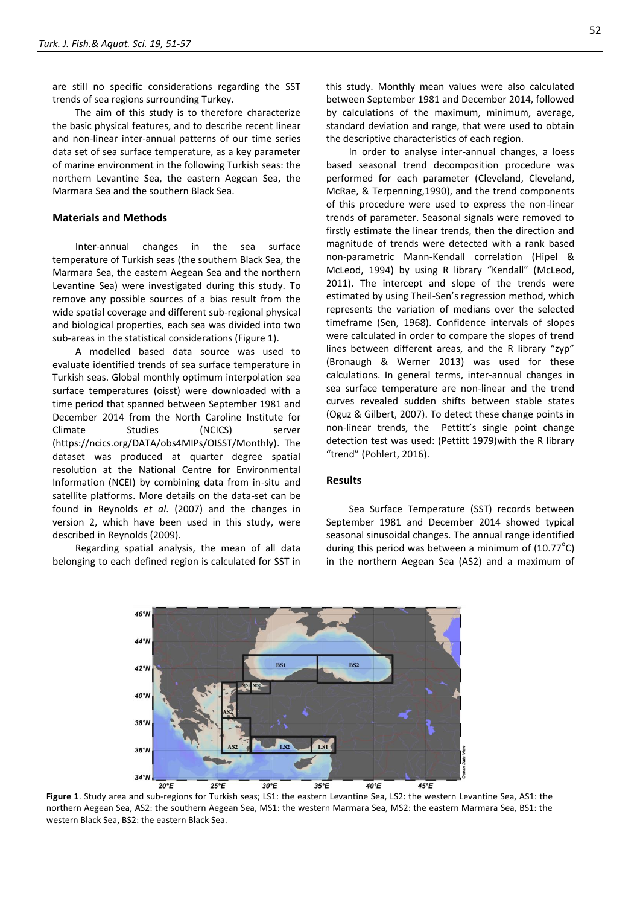are still no specific considerations regarding the SST trends of sea regions surrounding Turkey.

The aim of this study is to therefore characterize the basic physical features, and to describe recent linear and non-linear inter-annual patterns of our time series data set of sea surface temperature, as a key parameter of marine environment in the following Turkish seas: the northern Levantine Sea, the eastern Aegean Sea, the Marmara Sea and the southern Black Sea.

# **Materials and Methods**

Inter-annual changes in the sea surface temperature of Turkish seas (the southern Black Sea, the Marmara Sea, the eastern Aegean Sea and the northern Levantine Sea) were investigated during this study. To remove any possible sources of a bias result from the wide spatial coverage and different sub-regional physical and biological properties, each sea was divided into two sub-areas in the statistical considerations (Figure 1).

A modelled based data source was used to evaluate identified trends of sea surface temperature in Turkish seas. Global monthly optimum interpolation sea surface temperatures (oisst) were downloaded with a time period that spanned between September 1981 and December 2014 from the North Caroline Institute for Climate Studies (NCICS) server (https://ncics.org/DATA/obs4MIPs/OISST/Monthly). The dataset was produced at quarter degree spatial resolution at the National Centre for Environmental Information (NCEI) by combining data from in-situ and satellite platforms. More details on the data-set can be found in Reynolds *et al*. (2007) and the changes in version 2, which have been used in this study, were described in Reynolds (2009).

Regarding spatial analysis, the mean of all data belonging to each defined region is calculated for SST in this study. Monthly mean values were also calculated between September 1981 and December 2014, followed by calculations of the maximum, minimum, average, standard deviation and range, that were used to obtain the descriptive characteristics of each region.

In order to analyse inter-annual changes, a loess based seasonal trend decomposition procedure was performed for each parameter (Cleveland, Cleveland, McRae, & Terpenning,1990), and the trend components of this procedure were used to express the non-linear trends of parameter. Seasonal signals were removed to firstly estimate the linear trends, then the direction and magnitude of trends were detected with a rank based non-parametric Mann-Kendall correlation (Hipel & McLeod, 1994) by using R library "Kendall" (McLeod, 2011). The intercept and slope of the trends were estimated by using Theil-Sen's regression method, which represents the variation of medians over the selected timeframe (Sen, 1968). Confidence intervals of slopes were calculated in order to compare the slopes of trend lines between different areas, and the R library "zyp" (Bronaugh & Werner 2013) was used for these calculations. In general terms, inter-annual changes in sea surface temperature are non-linear and the trend curves revealed sudden shifts between stable states (Oguz & Gilbert, 2007). To detect these change points in non-linear trends, the Pettitt's single point change detection test was used: (Pettitt 1979)with the R library "trend" (Pohlert, 2016).

## **Results**

Sea Surface Temperature (SST) records between September 1981 and December 2014 showed typical seasonal sinusoidal changes. The annual range identified during this period was between a minimum of  $(10.77^{\circ}C)$ in the northern Aegean Sea (AS2) and a maximum of



**Figure 1**. Study area and sub-regions for Turkish seas; LS1: the eastern Levantine Sea, LS2: the western Levantine Sea, AS1: the northern Aegean Sea, AS2: the southern Aegean Sea, MS1: the western Marmara Sea, MS2: the eastern Marmara Sea, BS1: the western Black Sea, BS2: the eastern Black Sea.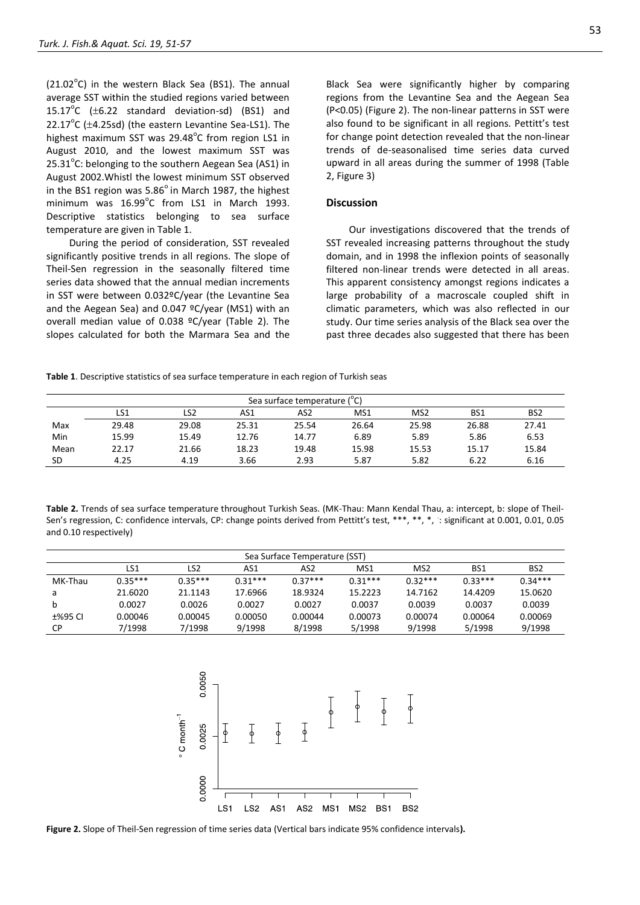$(21.02^{\circ}C)$  in the western Black Sea (BS1). The annual average SST within the studied regions varied between  $15.17^{\circ}$ C ( $\pm$ 6.22 standard deviation-sd) (BS1) and  $22.17^{\circ}$ C ( $\pm$ 4.25sd) (the eastern Levantine Sea-LS1). The highest maximum SST was 29.48 $^{\circ}$ C from region LS1 in August 2010, and the lowest maximum SST was 25.31 $\rm ^{o}$ C: belonging to the southern Aegean Sea (AS1) in August 2002.Whistl the lowest minimum SST observed in the BS1 region was  $5.86^\circ$  in March 1987, the highest minimum was  $16.99^{\circ}$ C from LS1 in March 1993. Descriptive statistics belonging to sea surface temperature are given in Table 1.

During the period of consideration, SST revealed significantly positive trends in all regions. The slope of Theil-Sen regression in the seasonally filtered time series data showed that the annual median increments in SST were between 0.032ºC/year (the Levantine Sea and the Aegean Sea) and 0.047 ºC/year (MS1) with an overall median value of 0.038 ºC/year (Table 2). The slopes calculated for both the Marmara Sea and the Black Sea were significantly higher by comparing regions from the Levantine Sea and the Aegean Sea (P<0.05) (Figure 2). The non-linear patterns in SST were also found to be significant in all regions. Pettitt's test for change point detection revealed that the non-linear trends of de-seasonalised time series data curved upward in all areas during the summer of 1998 (Table 2, Figure 3)

### **Discussion**

Our investigations discovered that the trends of SST revealed increasing patterns throughout the study domain, and in 1998 the inflexion points of seasonally filtered non-linear trends were detected in all areas. This apparent consistency amongst regions indicates a large probability of a macroscale coupled shift in climatic parameters, which was also reflected in our study. Our time series analysis of the Black sea over the past three decades also suggested that there has been

**Table 1**. Descriptive statistics of sea surface temperature in each region of Turkish seas

| Sea surface temperature (C) |       |       |       |                 |       |                 |                 |                 |  |  |  |  |
|-----------------------------|-------|-------|-------|-----------------|-------|-----------------|-----------------|-----------------|--|--|--|--|
|                             | LS1   | LS2   | AS1   | AS <sub>2</sub> | MS1   | MS <sub>2</sub> | BS <sub>1</sub> | BS <sub>2</sub> |  |  |  |  |
| Max                         | 29.48 | 29.08 | 25.31 | 25.54           | 26.64 | 25.98           | 26.88           | 27.41           |  |  |  |  |
| Min                         | 15.99 | 15.49 | 12.76 | 14.77           | 6.89  | 5.89            | 5.86            | 6.53            |  |  |  |  |
| Mean                        | 22.17 | 21.66 | 18.23 | 19.48           | 15.98 | 15.53           | 15.17           | 15.84           |  |  |  |  |
| <b>SD</b>                   | 4.25  | 4.19  | 3.66  | 2.93            | 5.87  | 5.82            | 6.22            | 6.16            |  |  |  |  |

**Table 2.** Trends of sea surface temperature throughout Turkish Seas. (MK-Thau: Mann Kendal Thau, a: intercept, b: slope of Theil-Sen's regression, C: confidence intervals, CP: change points derived from Pettitt's test, \*\*\*, \*\*, \*, :: significant at 0.001, 0.01, 0.05 and 0.10 respectively)

| Sea Surface Temperature (SST) |           |           |           |           |                 |                 |           |                 |  |  |  |  |
|-------------------------------|-----------|-----------|-----------|-----------|-----------------|-----------------|-----------|-----------------|--|--|--|--|
|                               | LS1       | LS2       | AS1       | AS2       | MS <sub>1</sub> | MS <sub>2</sub> | BS1       | BS <sub>2</sub> |  |  |  |  |
| MK-Thau                       | $0.35***$ | $0.35***$ | $0.31***$ | $0.37***$ | $0.31***$       | $0.32***$       | $0.33***$ | $0.34***$       |  |  |  |  |
| a                             | 21.6020   | 21.1143   | 17.6966   | 18.9324   | 15.2223         | 14.7162         | 14.4209   | 15.0620         |  |  |  |  |
| b                             | 0.0027    | 0.0026    | 0.0027    | 0.0027    | 0.0037          | 0.0039          | 0.0037    | 0.0039          |  |  |  |  |
| ±%95 CI                       | 0.00046   | 0.00045   | 0.00050   | 0.00044   | 0.00073         | 0.00074         | 0.00064   | 0.00069         |  |  |  |  |
| <b>CP</b>                     | 7/1998    | 7/1998    | 9/1998    | 8/1998    | 5/1998          | 9/1998          | 5/1998    | 9/1998          |  |  |  |  |



**Figure 2.** Slope of Theil-Sen regression of time series data (Vertical bars indicate 95% confidence intervals**).**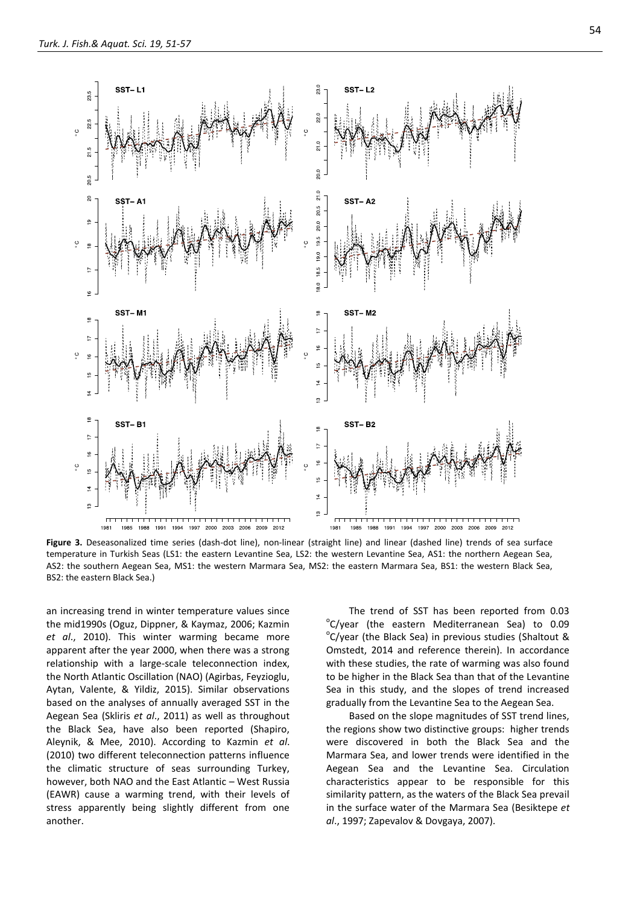

**Figure 3.** Deseasonalized time series (dash-dot line), non-linear (straight line) and linear (dashed line) trends of sea surface temperature in Turkish Seas (LS1: the eastern Levantine Sea, LS2: the western Levantine Sea, AS1: the northern Aegean Sea, AS2: the southern Aegean Sea, MS1: the western Marmara Sea, MS2: the eastern Marmara Sea, BS1: the western Black Sea, BS2: the eastern Black Sea.)

an increasing trend in winter temperature values since the mid1990s (Oguz, Dippner, & Kaymaz, 2006; Kazmin *et al*., 2010). This winter warming became more apparent after the year 2000, when there was a strong relationship with a large-scale teleconnection index, the North Atlantic Oscillation (NAO) (Agirbas, Feyzioglu, Aytan, Valente, & Yildiz, 2015). Similar observations based on the analyses of annually averaged SST in the Aegean Sea (Skliris *et al*., 2011) as well as throughout the Black Sea, have also been reported (Shapiro, Aleynik, & Mee, 2010). According to Kazmin *et al*. (2010) two different teleconnection patterns influence the climatic structure of seas surrounding Turkey, however, both NAO and the East Atlantic – West Russia (EAWR) cause a warming trend, with their levels of stress apparently being slightly different from one another.

The trend of SST has been reported from 0.03  $\degree$ C/year (the eastern Mediterranean Sea) to 0.09  $\mathrm{^{\circ}C}$ /year (the Black Sea) in previous studies (Shaltout & Omstedt, 2014 and reference therein). In accordance with these studies, the rate of warming was also found to be higher in the Black Sea than that of the Levantine Sea in this study, and the slopes of trend increased gradually from the Levantine Sea to the Aegean Sea.

Based on the slope magnitudes of SST trend lines, the regions show two distinctive groups: higher trends were discovered in both the Black Sea and the Marmara Sea, and lower trends were identified in the Aegean Sea and the Levantine Sea. Circulation characteristics appear to be responsible for this similarity pattern, as the waters of the Black Sea prevail in the surface water of the Marmara Sea (Besiktepe *et al*., 1997; Zapevalov & Dovgaya, 2007).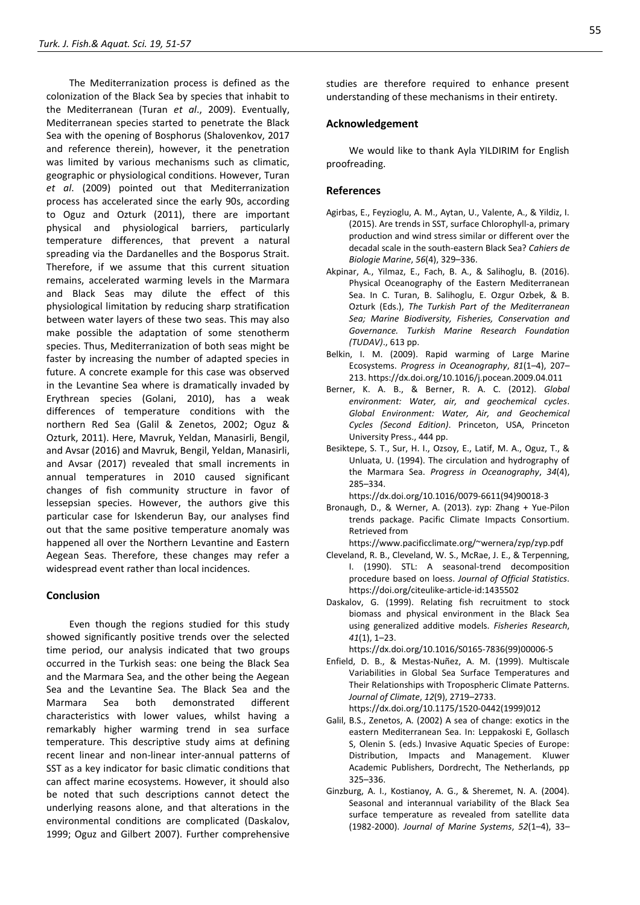The Mediterranization process is defined as the colonization of the Black Sea by species that inhabit to the Mediterranean (Turan *et al*., 2009). Eventually, Mediterranean species started to penetrate the Black Sea with the opening of Bosphorus (Shalovenkov, 2017 and reference therein), however, it the penetration was limited by various mechanisms such as climatic, geographic or physiological conditions. However, Turan *et al*. (2009) pointed out that Mediterranization process has accelerated since the early 90s, according to Oguz and Ozturk (2011), there are important physical and physiological barriers, particularly temperature differences, that prevent a natural spreading via the Dardanelles and the Bosporus Strait. Therefore, if we assume that this current situation remains, accelerated warming levels in the Marmara and Black Seas may dilute the effect of this physiological limitation by reducing sharp stratification between water layers of these two seas. This may also make possible the adaptation of some stenotherm species. Thus, Mediterranization of both seas might be faster by increasing the number of adapted species in future. A concrete example for this case was observed in the Levantine Sea where is dramatically invaded by Erythrean species (Golani, 2010), has a weak differences of temperature conditions with the northern Red Sea (Galil & Zenetos, 2002; Oguz & Ozturk, 2011). Here, Mavruk, Yeldan, Manasirli, Bengil, and Avsar (2016) and Mavruk, Bengil, Yeldan, Manasirli, and Avsar (2017) revealed that small increments in annual temperatures in 2010 caused significant changes of fish community structure in favor of lessepsian species. However, the authors give this particular case for Iskenderun Bay, our analyses find out that the same positive temperature anomaly was happened all over the Northern Levantine and Eastern Aegean Seas. Therefore, these changes may refer a widespread event rather than local incidences.

# **Conclusion**

Even though the regions studied for this study showed significantly positive trends over the selected time period, our analysis indicated that two groups occurred in the Turkish seas: one being the Black Sea and the Marmara Sea, and the other being the Aegean Sea and the Levantine Sea. The Black Sea and the Marmara Sea both demonstrated different characteristics with lower values, whilst having a remarkably higher warming trend in sea surface temperature. This descriptive study aims at defining recent linear and non-linear inter-annual patterns of SST as a key indicator for basic climatic conditions that can affect marine ecosystems. However, it should also be noted that such descriptions cannot detect the underlying reasons alone, and that alterations in the environmental conditions are complicated (Daskalov, 1999; Oguz and Gilbert 2007). Further comprehensive

studies are therefore required to enhance present understanding of these mechanisms in their entirety.

## **Acknowledgement**

We would like to thank Ayla YILDIRIM for English proofreading.

#### **References**

- Agirbas, E., Feyzioglu, A. M., Aytan, U., Valente, A., & Yildiz, I. (2015). Are trends in SST, surface Chlorophyll-a, primary production and wind stress similar or different over the decadal scale in the south-eastern Black Sea? *Cahiers de Biologie Marine*, *56*(4), 329–336.
- Akpinar, A., Yilmaz, E., Fach, B. A., & Salihoglu, B. (2016). Physical Oceanography of the Eastern Mediterranean Sea. In C. Turan, B. Salihoglu, E. Ozgur Ozbek, & B. Ozturk (Eds.), *The Turkish Part of the Mediterranean Sea; Marine Biodiversity, Fisheries, Conservation and Governance. Turkish Marine Research Foundation (TUDAV)*., 613 pp.
- Belkin, I. M. (2009). Rapid warming of Large Marine Ecosystems. *Progress in Oceanography*, *81*(1–4), 207– 213. https://dx.doi.org/10.1016/j.pocean.2009.04.011
- Berner, K. A. B., & Berner, R. A. C. (2012). *Global environment: Water, air, and geochemical cycles*. *Global Environment: Water, Air, and Geochemical Cycles (Second Edition)*. Princeton, USA, Princeton University Press., 444 pp.
- Besiktepe, S. T., Sur, H. I., Ozsoy, E., Latif, M. A., Oguz, T., & Unluata, U. (1994). The circulation and hydrography of the Marmara Sea. *Progress in Oceanography*, *34*(4), 285–334.

https://dx.doi.org/10.1016/0079-6611(94)90018-3

- Bronaugh, D., & Werner, A. (2013). zyp: Zhang + Yue-Pilon trends package. Pacific Climate Impacts Consortium. Retrieved from
	- https://www.pacificclimate.org/~wernera/zyp/zyp.pdf
- Cleveland, R. B., Cleveland, W. S., McRae, J. E., & Terpenning, I. (1990). STL: A seasonal-trend decomposition procedure based on loess. *Journal of Official Statistics*. https://doi.org/citeulike-article-id:1435502
- Daskalov, G. (1999). Relating fish recruitment to stock biomass and physical environment in the Black Sea using generalized additive models. *Fisheries Research*, *41*(1), 1–23.

https://dx.doi.org/10.1016/S0165-7836(99)00006-5

- Enfield, D. B., & Mestas-Nuñez, A. M. (1999). Multiscale Variabilities in Global Sea Surface Temperatures and Their Relationships with Tropospheric Climate Patterns. *Journal of Climate*, *12*(9), 2719–2733. https://dx.doi.org/10.1175/1520-0442(1999)012
- Galil, B.S., Zenetos, A. (2002) A sea of change: exotics in the eastern Mediterranean Sea. In: Leppakoski E, Gollasch S, Olenin S. (eds.) Invasive Aquatic Species of Europe: Distribution, Impacts and Management. Kluwer Academic Publishers, Dordrecht, The Netherlands, pp 325–336.
- Ginzburg, A. I., Kostianoy, A. G., & Sheremet, N. A. (2004). Seasonal and interannual variability of the Black Sea surface temperature as revealed from satellite data (1982-2000). *Journal of Marine Systems*, *52*(1–4), 33–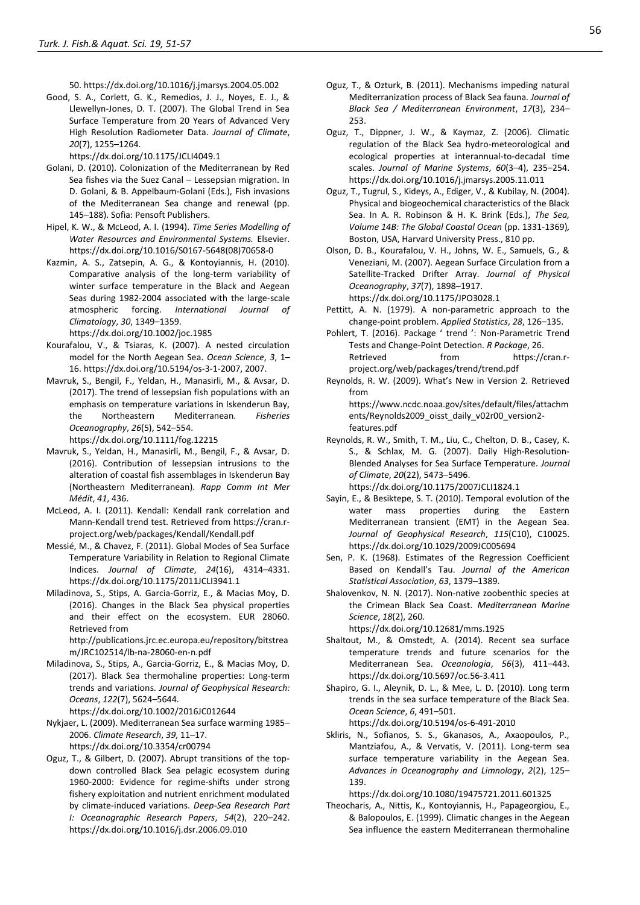50. https://dx.doi.org/10.1016/j.jmarsys.2004.05.002

Good, S. A., Corlett, G. K., Remedios, J. J., Noyes, E. J., & Llewellyn-Jones, D. T. (2007). The Global Trend in Sea Surface Temperature from 20 Years of Advanced Very High Resolution Radiometer Data. *Journal of Climate*, *20*(7), 1255–1264.

https://dx.doi.org/10.1175/JCLI4049.1

- Golani, D. (2010). Colonization of the Mediterranean by Red Sea fishes via the Suez Canal – Lessepsian migration. In D. Golani, & B. Appelbaum-Golani (Eds.), Fish invasions of the Mediterranean Sea change and renewal (pp. 145–188). Sofia: Pensoft Publishers.
- Hipel, K. W., & McLeod, A. I. (1994). *Time Series Modelling of Water Resources and Environmental Systems.* Elsevier. https://dx.doi.org/10.1016/S0167-5648(08)70658-0
- Kazmin, A. S., Zatsepin, A. G., & Kontoyiannis, H. (2010). Comparative analysis of the long-term variability of winter surface temperature in the Black and Aegean Seas during 1982-2004 associated with the large-scale atmospheric forcing. *International Journal of Climatology*, *30*, 1349–1359.

https://dx.doi.org/10.1002/joc.1985

- Kourafalou, V., & Tsiaras, K. (2007). A nested circulation model for the North Aegean Sea. *Ocean Science*, *3*, 1– 16. https://dx.doi.org/10.5194/os-3-1-2007, 2007.
- Mavruk, S., Bengil, F., Yeldan, H., Manasirli, M., & Avsar, D. (2017). The trend of lessepsian fish populations with an emphasis on temperature variations in Iskenderun Bay, the Northeastern Mediterranean. *Fisheries Oceanography*, *26*(5), 542–554.

https://dx.doi.org/10.1111/fog.12215

- Mavruk, S., Yeldan, H., Manasirli, M., Bengil, F., & Avsar, D. (2016). Contribution of lessepsian intrusions to the alteration of coastal fish assemblages in Iskenderun Bay (Northeastern Mediterranean). *Rapp Comm Int Mer Médit*, *41*, 436.
- McLeod, A. I. (2011). Kendall: Kendall rank correlation and Mann-Kendall trend test. Retrieved from https://cran.rproject.org/web/packages/Kendall/Kendall.pdf
- Messié, M., & Chavez, F. (2011). Global Modes of Sea Surface Temperature Variability in Relation to Regional Climate Indices. *Journal of Climate*, *24*(16), 4314–4331. https://dx.doi.org/10.1175/2011JCLI3941.1
- Miladinova, S., Stips, A. Garcia-Gorriz, E., & Macias Moy, D. (2016). Changes in the Black Sea physical properties and their effect on the ecosystem. EUR 28060. Retrieved from

http://publications.jrc.ec.europa.eu/repository/bitstrea m/JRC102514/lb-na-28060-en-n.pdf

Miladinova, S., Stips, A., Garcia-Gorriz, E., & Macias Moy, D. (2017). Black Sea thermohaline properties: Long-term trends and variations. *Journal of Geophysical Research: Oceans*, *122*(7), 5624–5644.

https://dx.doi.org/10.1002/2016JC012644

Nykjaer, L. (2009). Mediterranean Sea surface warming 1985– 2006. *Climate Research*, *39*, 11–17. https://dx.doi.org/10.3354/cr00794

Oguz, T., & Gilbert, D. (2007). Abrupt transitions of the topdown controlled Black Sea pelagic ecosystem during 1960-2000: Evidence for regime-shifts under strong fishery exploitation and nutrient enrichment modulated by climate-induced variations. *Deep-Sea Research Part I: Oceanographic Research Papers*, *54*(2), 220–242. https://dx.doi.org/10.1016/j.dsr.2006.09.010

- Oguz, T., & Ozturk, B. (2011). Mechanisms impeding natural Mediterranization process of Black Sea fauna. *Journal of Black Sea / Mediterranean Environment*, *17*(3), 234– 253.
- Oguz, T., Dippner, J. W., & Kaymaz, Z. (2006). Climatic regulation of the Black Sea hydro-meteorological and ecological properties at interannual-to-decadal time scales. *Journal of Marine Systems*, *60*(3–4), 235–254. https://dx.doi.org/10.1016/j.jmarsys.2005.11.011
- Oguz, T., Tugrul, S., Kideys, A., Ediger, V., & Kubilay, N. (2004). Physical and biogeochemical characteristics of the Black Sea. In A. R. Robinson & H. K. Brink (Eds.), *The Sea, Volume 14B: The Global Coastal Ocean* (pp. 1331-1369)*,* Boston, USA, Harvard University Press., 810 pp.
- Olson, D. B., Kourafalou, V. H., Johns, W. E., Samuels, G., & Veneziani, M. (2007). Aegean Surface Circulation from a Satellite-Tracked Drifter Array. *Journal of Physical Oceanography*, *37*(7), 1898–1917. https://dx.doi.org/10.1175/JPO3028.1

Pettitt, A. N. (1979). A non-parametric approach to the

- change-point problem. *Applied Statistics*, *28*, 126–135. Pohlert, T. (2016). Package ' trend ': Non-Parametric Trend Tests and Change-Point Detection. *R Package*, 26. Retrieved from https://cran.r-
- project.org/web/packages/trend/trend.pdf Reynolds, R. W. (2009). What's New in Version 2. Retrieved from

https://www.ncdc.noaa.gov/sites/default/files/attachm ents/Reynolds2009\_oisst\_daily\_v02r00\_version2 features.pdf

- Reynolds, R. W., Smith, T. M., Liu, C., Chelton, D. B., Casey, K. S., & Schlax, M. G. (2007). Daily High-Resolution-Blended Analyses for Sea Surface Temperature. *Journal of Climate*, *20*(22), 5473–5496. https://dx.doi.org/10.1175/2007JCLI1824.1
- Sayin, E., & Besiktepe, S. T. (2010). Temporal evolution of the water mass properties during the Eastern Mediterranean transient (EMT) in the Aegean Sea. *Journal of Geophysical Research*, *115*(C10), C10025. [https://dx.doi.org/10.1029/2009JC005694](https://doi.org/10.1029/2009JC005694)
- Sen, P. K. (1968). Estimates of the Regression Coefficient Based on Kendall's Tau. *Journal of the American Statistical Association*, *63*, 1379–1389.
- Shalovenkov, N. N. (2017). Non-native zoobenthic species at the Crimean Black Sea Coast. *Mediterranean Marine Science*, *18*(2), 260. https://dx.doi.org/10.12681/mms.1925
- Shaltout, M., & Omstedt, A. (2014). Recent sea surface temperature trends and future scenarios for the Mediterranean Sea. *Oceanologia*, *56*(3), 411–443. https://dx.doi.org/10.5697/oc.56-3.411
- Shapiro, G. I., Aleynik, D. L., & Mee, L. D. (2010). Long term trends in the sea surface temperature of the Black Sea. *Ocean Science*, *6*, 491–501. https://dx.doi.org/10.5194/os-6-491-2010
- Skliris, N., Sofianos, S. S., Gkanasos, A., Axaopoulos, P., Mantziafou, A., & Vervatis, V. (2011). Long-term sea surface temperature variability in the Aegean Sea. *Advances in Oceanography and Limnology*, *2*(2), 125– 139.

https://dx.doi.org/10.1080/19475721.2011.601325

Theocharis, A., Nittis, K., Kontoyiannis, H., Papageorgiou, E., & Balopoulos, E. (1999). Climatic changes in the Aegean Sea influence the eastern Mediterranean thermohaline